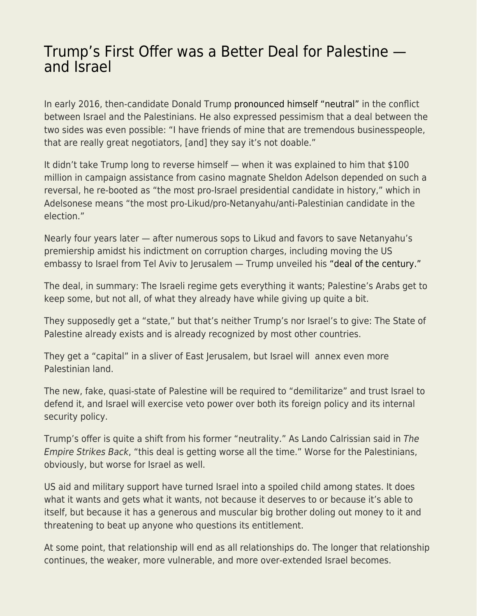## [Trump's First Offer was a Better Deal for Palestine](https://everything-voluntary.com/trumps-first-offer-was-a-better-deal-for-palestine-and-israel)  [and Israel](https://everything-voluntary.com/trumps-first-offer-was-a-better-deal-for-palestine-and-israel)

In early 2016, then-candidate Donald Trump [pronounced himself "neutral"](https://thehill.com/blogs/ballot-box/presidential-races/269806-trump-ill-be-neutral-on-israel-and) in the conflict between Israel and the Palestinians. He also expressed pessimism that a deal between the two sides was even possible: "I have friends of mine that are tremendous businesspeople, that are really great negotiators, [and] they say it's not doable."

It didn't take Trump long to reverse himself — when it was explained to him that \$100 million in campaign assistance from casino magnate Sheldon Adelson depended on such a reversal, he re-booted as "the most pro-Israel presidential candidate in history," which in Adelsonese means "the most pro-Likud/pro-Netanyahu/anti-Palestinian candidate in the election."

Nearly four years later — after numerous sops to Likud and favors to save Netanyahu's premiership amidst his indictment on corruption charges, including moving the US embassy to Israel from Tel Aviv to Jerusalem — Trump unveiled his ["deal of the century."](https://en.wikipedia.org/wiki/Donald_Trump_peace_plan) 

The deal, in summary: The Israeli regime gets everything it wants; Palestine's Arabs get to keep some, but not all, of what they already have while giving up quite a bit.

They supposedly get a "state," but that's neither Trump's nor Israel's to give: The State of Palestine already exists and is already recognized by most other countries.

They get a "capital" in a sliver of East Jerusalem, but Israel will annex even more Palestinian land.

The new, fake, quasi-state of Palestine will be required to "demilitarize" and trust Israel to defend it, and Israel will exercise veto power over both its foreign policy and its internal security policy.

Trump's offer is quite a shift from his former "neutrality." As Lando Calrissian said in The Empire Strikes Back, "this deal is getting worse all the time." Worse for the Palestinians, obviously, but worse for Israel as well.

US aid and military support have turned Israel into a spoiled child among states. It does what it wants and gets what it wants, not because it deserves to or because it's able to itself, but because it has a generous and muscular big brother doling out money to it and threatening to beat up anyone who questions its entitlement.

At some point, that relationship will end as all relationships do. The longer that relationship continues, the weaker, more vulnerable, and more over-extended Israel becomes.